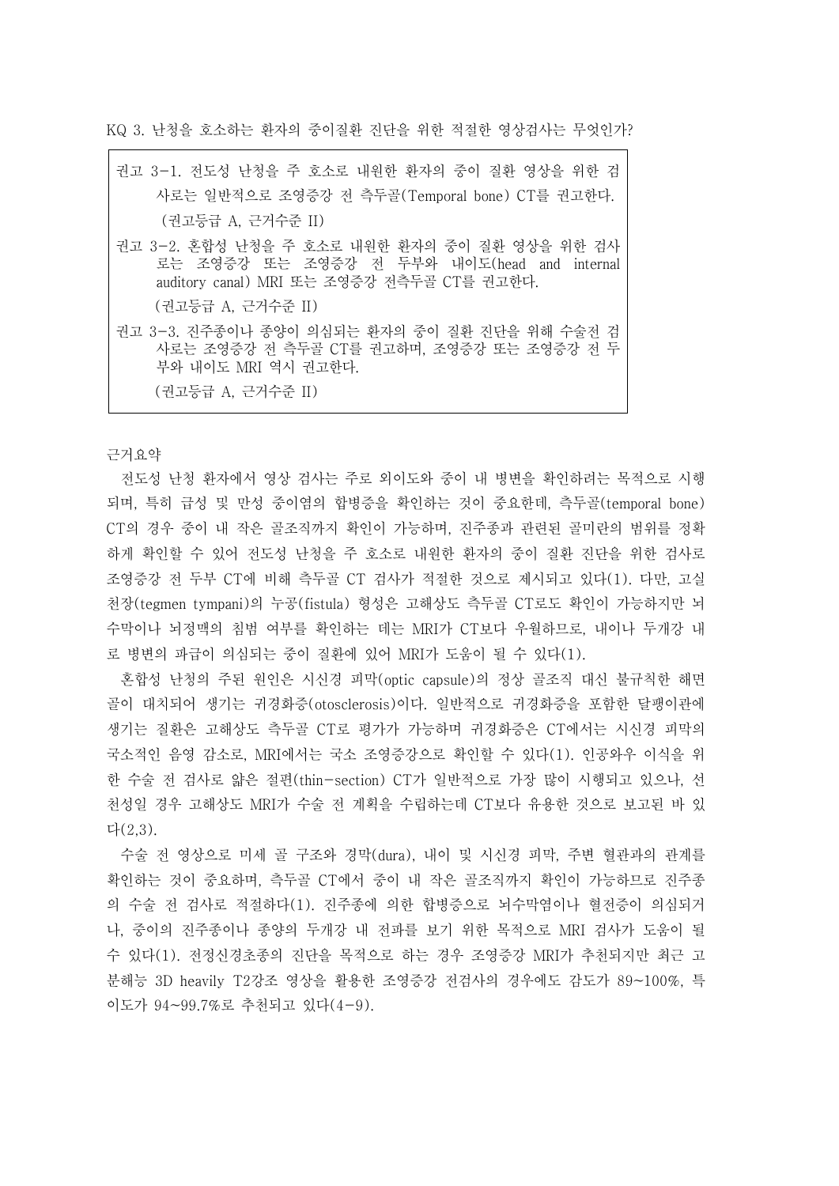KQ 3. 난청을 호소하는 환자의 중이질환 진단을 위한 적절한 영상검사는 무엇인가?

| 권고 3-1. 전도성 난청을 주 호소로 내워한 환자의 중이 질환 영상을 위한 검                                                                                               |
|--------------------------------------------------------------------------------------------------------------------------------------------|
| 사로는 일반적으로 조영증강 전 측두골(Temporal bone) CT를 권고한다.                                                                                              |
| (권고등급 A, 근거수준 II)                                                                                                                          |
| 권고 3-2. 혼합성 난청을 주 호소로 내원한 환자의 중이 질환 영상을 위한 검사<br>로는 조영증강 또는 조영증강 전 두부와 내이도(head and internal<br>auditory canal) MRI 또는 조영증강 전측두골 CT를 권고한다. |
| (권고등급 A. 근거수준 II)                                                                                                                          |
| 권고 3-3. 진주종이나 종양이 의심되는 환자의 중이 질환 진단을 위해 수술전 검<br>사로는 조영증강 전 측두골 CT를 권고하며, 조영증강 또는 조영증강 전 두<br>부와 내이도 MRI 역시 권고한다.                          |
|                                                                                                                                            |

(권고등급 A, 근거수준 II)

근거요약

 $\Gamma$ 

전도성 난청 환자에서 영상 검사는 주로 외이도와 중이 내 병변을 확인하려는 목적으로 시행 되며, 특히 급성 및 만성 중이염의 합병증을 확인하는 것이 중요한데, 측두골(temporal bone) CT의 경우 중이 내 작은 골조직까지 확인이 가능하며, 진주종과 관련된 골미란의 범위를 정확 하게 확인할 수 있어 전도성 난청을 주 호소로 내원한 환자의 중이 질환 진단을 위한 검사로 조영증강 전 두부 CT에 비해 측두골 CT 검사가 적절한 것으로 제시되고 있다(1). 다만, 고실 천장(tegmen tympani)의 누공(fistula) 형성은 고해상도 측두골 CT로도 확인이 가능하지만 뇌 수막이나 뇌정맥의 침범 여부를 확인하는 데는 MRI가 CT보다 우월하므로, 내이나 두개강 내 로 병변의 파급이 의심되는 중이 질환에 있어 MRI가 도움이 될 수 있다(1).

혼합성 난청의 주된 원인은 시신경 피막(optic capsule)의 정상 골조직 대신 불규칙한 해면 골이 대치되어 생기는 귀경화증(otosclerosis)이다. 일반적으로 귀경화증을 포함한 달팽이관에 생기는 질환은 고해상도 측두골 CT로 평가가 가능하며 귀경화증은 CT에서는 시신경 피막의 국소적인 음영 감소로, MRI에서는 국소 조영증강으로 확인할 수 있다(1). 인공와우 이식을 위 한 수술 전 검사로 얇은 절편(thin-section) CT가 일반적으로 가장 많이 시행되고 있으나, 선 천성일 경우 고해상도 MRI가 수술 전 계획을 수립하는데 CT보다 유용한 것으로 보고된 바 있 다(2,3).

수술 전 영상으로 미세 골 구조와 경막(dura), 내이 및 시신경 피막, 주변 혈관과의 관계를 확인하는 것이 중요하며, 측두골 CT에서 중이 내 작은 골조직까지 확인이 가능하므로 진주종 의 수술 전 검사로 적절하다(1). 진주종에 의한 합병증으로 뇌수막염이나 혈전증이 의심되거 나, 중이의 진주종이나 종양의 두개강 내 전파를 보기 위한 목적으로 MRI 검사가 도움이 될 수 있다(1). 전정신경초종의 진단을 목적으로 하는 경우 조영증강 MRI가 추천되지만 최근 고 분해능 3D heavily T2강조 영상을 활용한 조영증강 전검사의 경우에도 감도가 89~100%, 특 이도가 94~99.7%로 추천되고 있다(4-9).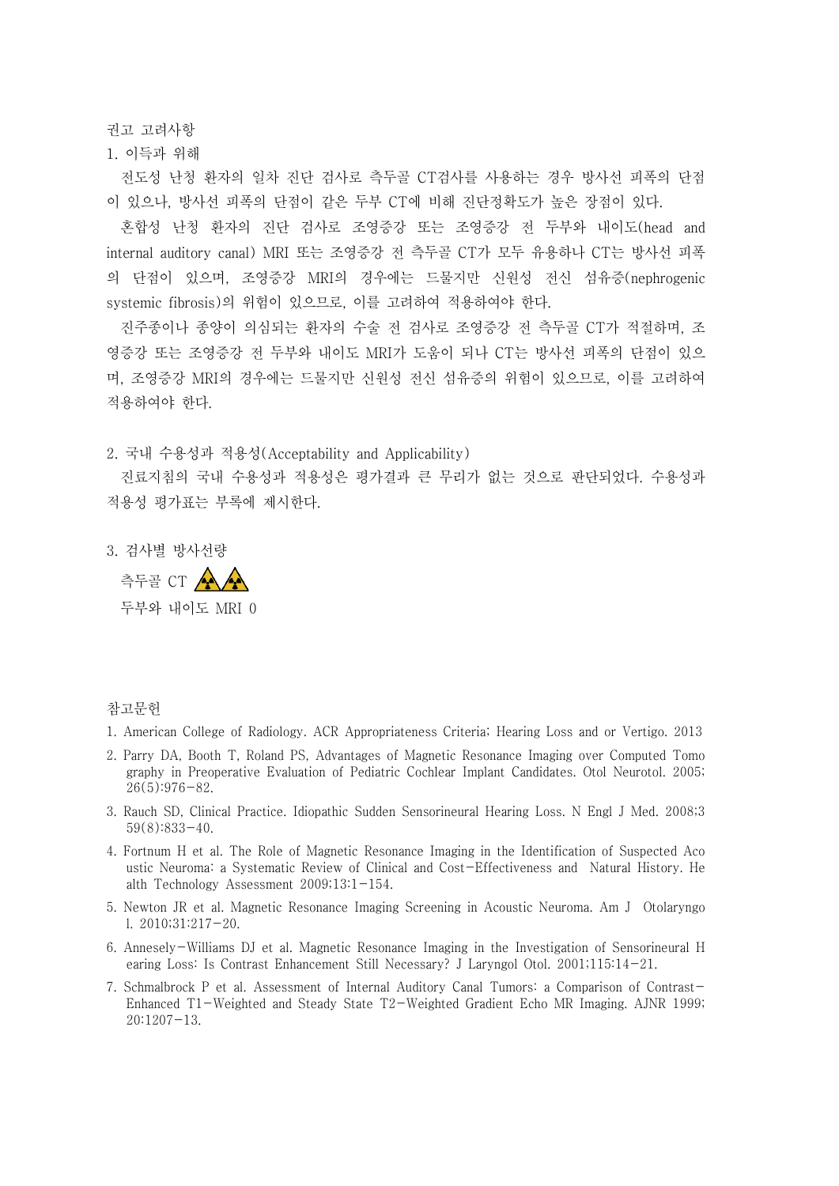권고 고려사항

1. 이득과 위해

전도성 난청 환자의 일차 진단 검사로 측두골 CT검사를 사용하는 경우 방사선 피폭의 단점 이 있으나, 방사선 피폭의 단점이 같은 두부 CT에 비해 진단정확도가 높은 장점이 있다.<br>- 혼합성 난청 환자의 진단 검사로 조영증강 또는 조영증강 전 두부와 내이도(head and

internal auditory canal) MRI 또는 조영증강 전 측두골 CT가 모두 유용하나 CT는 방사선 피폭 의 단점이 있으며, 조영증강 MRI의 경우에는 드물지만 신원성 전신 섬유증(nephrogenic systemic fibrosis)의 위험이 있으므로, 이를 고려하여 적용하여야 한다.

진주종이나 종양이 의심되는 환자의 수술 전 검사로 조영증강 전 측두골 CT가 적절하며, 조 영증강 또는 조영증강 전 두부와 내이도 MRI가 도움이 되나 CT는 방사선 피폭의 단점이 있으 며, 조영증강 MRI의 경우에는 드물지만 신원성 전신 섬유증의 위험이 있으므로, 이를 고려하여 적용하여야 한다.

2. 국내 수용성과 적용성(Acceptability and Applicability)

진료지침의 국내 수용성과 적용성은 평가결과 큰 무리가 없는 것으로 판단되었다. 수용성과 적용성 평가표는 부록에 제시한다.

3. 검사별 방사선량

측두골 CT AAA 두부와 내이도 MRI 0

## 참고문헌

- 1. American College of Radiology. ACR Appropriateness Criteria; Hearing Loss and or Vertigo. 2013
- 2. Parry DA, Booth T, Roland PS, Advantages of Magnetic Resonance Imaging over Computed Tomo graphy in Preoperative Evaluation of Pediatric Cochlear Implant Candidates. Otol Neurotol. 2005;  $26(5):976-82.$
- 3. Rauch SD, Clinical Practice. Idiopathic Sudden Sensorineural Hearing Loss. N Engl J Med. 2008;3 59(8):833-40.
- 4. Fortnum H et al. The Role of Magnetic Resonance Imaging in the Identification of Suspected Aco ustic Neuroma: a Systematic Review of Clinical and Cost-Effectiveness and Natural History. He alth Technology Assessment 2009;13:1-154.
- 5. Newton JR et al. Magnetic Resonance Imaging Screening in Acoustic Neuroma. Am J Otolaryngo l. 2010;31:217-20.
- 6. Annesely-Williams DJ et al. Magnetic Resonance Imaging in the Investigation of Sensorineural H earing Loss: Is Contrast Enhancement Still Necessary? J Laryngol Otol. 2001;115:14-21.
- 7. Schmalbrock P et al. Assessment of Internal Auditory Canal Tumors: a Comparison of Contrast-Enhanced T1-Weighted and Steady State T2-Weighted Gradient Echo MR Imaging. AJNR 1999; 20:1207-13.